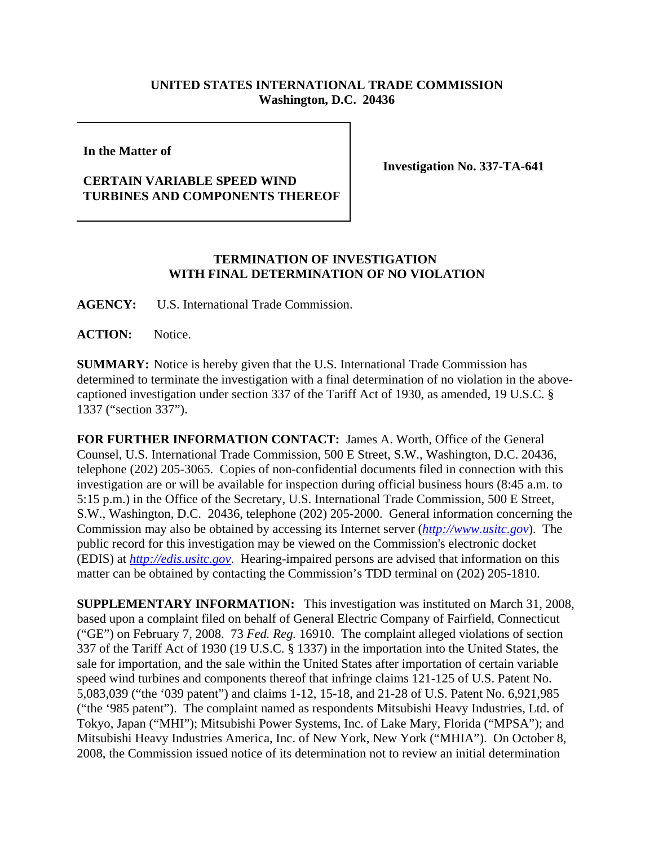## **UNITED STATES INTERNATIONAL TRADE COMMISSION Washington, D.C. 20436**

**In the Matter of** 

## **CERTAIN VARIABLE SPEED WIND TURBINES AND COMPONENTS THEREOF**

**Investigation No. 337-TA-641**

## **TERMINATION OF INVESTIGATION WITH FINAL DETERMINATION OF NO VIOLATION**

**AGENCY:** U.S. International Trade Commission.

ACTION: Notice.

**SUMMARY:** Notice is hereby given that the U.S. International Trade Commission has determined to terminate the investigation with a final determination of no violation in the abovecaptioned investigation under section 337 of the Tariff Act of 1930, as amended, 19 U.S.C. § 1337 ("section 337").

**FOR FURTHER INFORMATION CONTACT:** James A. Worth, Office of the General Counsel, U.S. International Trade Commission, 500 E Street, S.W., Washington, D.C. 20436, telephone (202) 205-3065. Copies of non-confidential documents filed in connection with this investigation are or will be available for inspection during official business hours (8:45 a.m. to 5:15 p.m.) in the Office of the Secretary, U.S. International Trade Commission, 500 E Street, S.W., Washington, D.C. 20436, telephone (202) 205-2000. General information concerning the Commission may also be obtained by accessing its Internet server (*http://www.usitc.gov*). The public record for this investigation may be viewed on the Commission's electronic docket (EDIS) at *http://edis.usitc.gov*. Hearing-impaired persons are advised that information on this matter can be obtained by contacting the Commission's TDD terminal on (202) 205-1810.

**SUPPLEMENTARY INFORMATION:** This investigation was instituted on March 31, 2008, based upon a complaint filed on behalf of General Electric Company of Fairfield, Connecticut ("GE") on February 7, 2008. 73 *Fed. Reg.* 16910. The complaint alleged violations of section 337 of the Tariff Act of 1930 (19 U.S.C. § 1337) in the importation into the United States, the sale for importation, and the sale within the United States after importation of certain variable speed wind turbines and components thereof that infringe claims 121-125 of U.S. Patent No. 5,083,039 ("the '039 patent") and claims 1-12, 15-18, and 21-28 of U.S. Patent No. 6,921,985 ("the '985 patent"). The complaint named as respondents Mitsubishi Heavy Industries, Ltd. of Tokyo, Japan ("MHI"); Mitsubishi Power Systems, Inc. of Lake Mary, Florida ("MPSA"); and Mitsubishi Heavy Industries America, Inc. of New York, New York ("MHIA"). On October 8, 2008, the Commission issued notice of its determination not to review an initial determination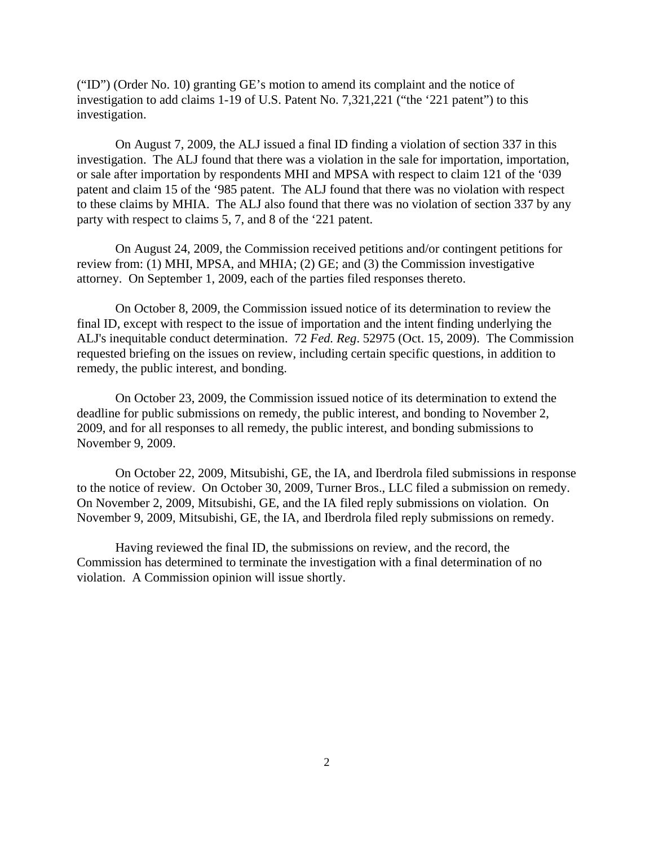("ID") (Order No. 10) granting GE's motion to amend its complaint and the notice of investigation to add claims 1-19 of U.S. Patent No. 7,321,221 ("the '221 patent") to this investigation.

On August 7, 2009, the ALJ issued a final ID finding a violation of section 337 in this investigation. The ALJ found that there was a violation in the sale for importation, importation, or sale after importation by respondents MHI and MPSA with respect to claim 121 of the '039 patent and claim 15 of the '985 patent. The ALJ found that there was no violation with respect to these claims by MHIA. The ALJ also found that there was no violation of section 337 by any party with respect to claims 5, 7, and 8 of the '221 patent.

On August 24, 2009, the Commission received petitions and/or contingent petitions for review from: (1) MHI, MPSA, and MHIA; (2) GE; and (3) the Commission investigative attorney. On September 1, 2009, each of the parties filed responses thereto.

On October 8, 2009, the Commission issued notice of its determination to review the final ID, except with respect to the issue of importation and the intent finding underlying the ALJ's inequitable conduct determination. 72 *Fed. Reg*. 52975 (Oct. 15, 2009). The Commission requested briefing on the issues on review, including certain specific questions, in addition to remedy, the public interest, and bonding.

On October 23, 2009, the Commission issued notice of its determination to extend the deadline for public submissions on remedy, the public interest, and bonding to November 2, 2009, and for all responses to all remedy, the public interest, and bonding submissions to November 9, 2009.

On October 22, 2009, Mitsubishi, GE, the IA, and Iberdrola filed submissions in response to the notice of review. On October 30, 2009, Turner Bros., LLC filed a submission on remedy. On November 2, 2009, Mitsubishi, GE, and the IA filed reply submissions on violation. On November 9, 2009, Mitsubishi, GE, the IA, and Iberdrola filed reply submissions on remedy.

Having reviewed the final ID, the submissions on review, and the record, the Commission has determined to terminate the investigation with a final determination of no violation. A Commission opinion will issue shortly.